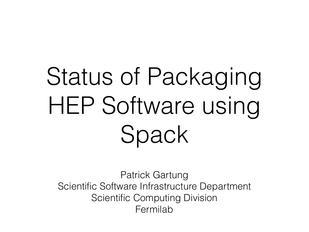# Status of Packaging HEP Software using Spack

Patrick Gartung Scientific Software Infrastructure Department Scientific Computing Division Fermilab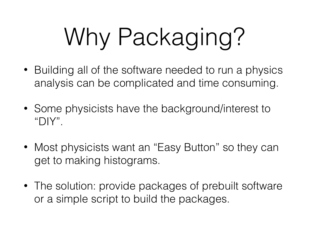# Why Packaging?

- Building all of the software needed to run a physics analysis can be complicated and time consuming.
- Some physicists have the background/interest to " $\bigcap$
- Most physicists want an "Easy Button" so they can get to making histograms.
- The solution: provide packages of prebuilt software or a simple script to build the packages.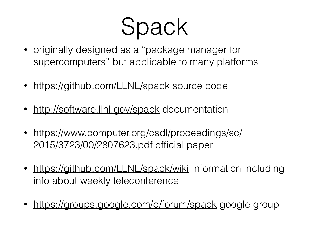Spack

- originally designed as a "package manager for supercomputers" but applicable to many platforms
- <https://github.com/LLNL/spack> source code
- <http://software.llnl.gov/spack> documentation
- [https://www.computer.org/csdl/proceedings/sc/](https://www.computer.org/csdl/proceedings/sc/2015/3723/00/2807623.pdf) 2015/3723/00/2807623.pdf official paper
- <https://github.com/LLNL/spack/wiki> Information including info about weekly teleconference
- <https://groups.google.com/d/forum/spack> google group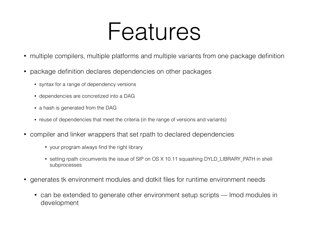#### Features

- multiple compilers, multiple platforms and multiple variants from one package definition
- package definition declares dependencies on other packages
	- syntax for a range of dependency versions
	- dependencies are concretized into a DAG
	- a hash is generated from the DAG
	- reuse of dependencies that meet the criteria (in the range of versions and variants)
- compiler and linker wrappers that set rpath to declared dependencies
	- your program always find the right library
	- setting rpath circumvents the issue of SIP on OS X 10.11 squashing DYLD\_LIBRARY\_PATH in shell subprocesses
- generates tk environment modules and dotkit files for runtime environment needs
	- can be extended to generate other environment setup scripts lmod modules in development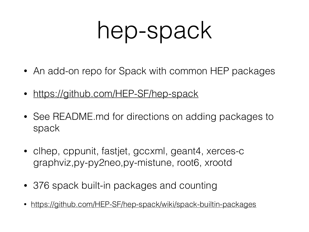### hep-spack

- An add-on repo for Spack with common HEP packages
- <https://github.com/HEP-SF/hep-spack>
- See README.md for directions on adding packages to spack
- clhep, cppunit, fastjet, gccxml, geant4, xerces-c graphviz,py-py2neo,py-mistune, root6, xrootd
- 376 spack built-in packages and counting
- <https://github.com/HEP-SF/hep-spack/wiki/spack-builtin-packages>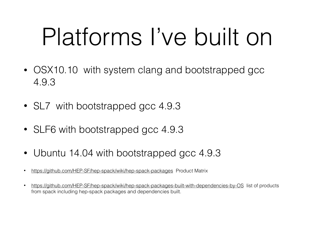## Platforms I've built on

- OSX10.10 with system clang and bootstrapped gcc 4.9.3
- SL7 with bootstrapped gcc 4.9.3
- SLF6 with bootstrapped gcc 4.9.3
- Ubuntu 14.04 with bootstrapped gcc 4.9.3
- <https://github.com/HEP-SF/hep-spack/wiki/hep-spack-packages> Product Matrix
- <https://github.com/HEP-SF/hep-spack/wiki/hep-spack-packages-built-with-dependencies-by-OS> list of products from spack including hep-spack packages and dependencies built.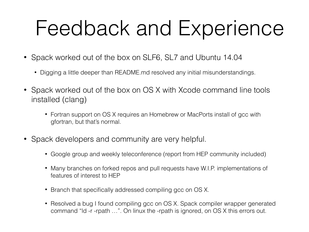#### Feedback and Experience

- Spack worked out of the box on SLF6, SL7 and Ubuntu 14.04
	- Digging a little deeper than README md resolved any initial misunderstandings.
- Spack worked out of the box on OS X with Xcode command line tools installed (clang)
	- Fortran support on OS X requires an Homebrew or MacPorts install of gcc with gfortran, but that's normal.
- Spack developers and community are very helpful.
	- Google group and weekly teleconference (report from HEP community included)
	- Many branches on forked repos and pull requests have W.I.P. implementations of features of interest to HEP
	- Branch that specifically addressed compiling gcc on OS X.
	- Resolved a bug I found compiling gcc on OS X. Spack compiler wrapper generated command "ld -r -rpath …". On linux the -rpath is ignored, on OS X this errors out.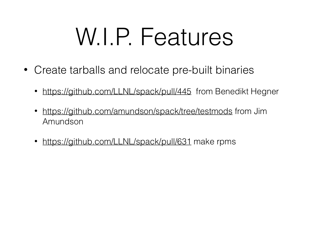### W.I.P. Features

- Create tarballs and relocate pre-built binaries
	- <https://github.com/LLNL/spack/pull/445>from Benedikt Hegner
	- <https://github.com/amundson/spack/tree/testmods>from Jim Amundson
	- <https://github.com/LLNL/spack/pull/631>make rpms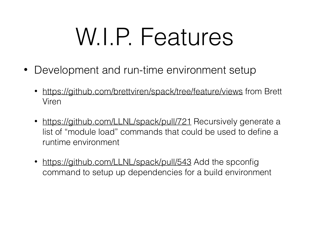### W.I.P. Features

- Development and run-time environment setup
	- <https://github.com/brettviren/spack/tree/feature/views>from Brett Viren
	- <https://github.com/LLNL/spack/pull/721>Recursively generate a list of "module load" commands that could be used to define a runtime environment
	- <https://github.com/LLNL/spack/pull/543>Add the spconfig command to setup up dependencies for a build environment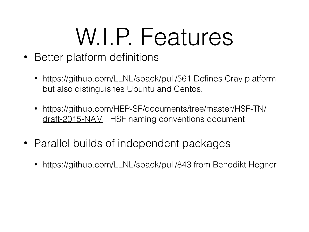### W.I.P. Features

- Better platform definitions
	- <https://github.com/LLNL/spack/pull/561>Defines Cray platform but also distinguishes Ubuntu and Centos.
	- [https://github.com/HEP-SF/documents/tree/master/HSF-TN/](https://github.com/HEP-SF/documents/tree/master/HSF-TN/draft-2015-NAM) draft-2015-NAM HSF naming conventions document
- Parallel builds of independent packages
	- <https://github.com/LLNL/spack/pull/843>from Benedikt Hegner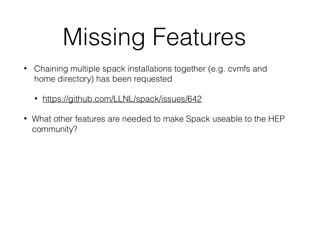# Missing Features

- Chaining multiple spack installations together (e.g. cymfs and home directory) has been requested
	- <https://github.com/LLNL/spack/issues/642>
- What other features are needed to make Spack useable to the HEP community?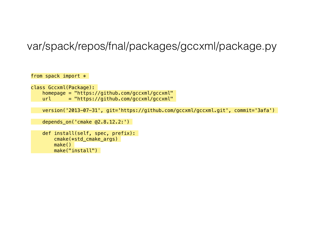#### var/spack/repos/fnal/packages/gccxml/package.py

from spack import  $*$ 

class Gccxml(Package): homepage = "https://github.com/gccxml/gccxml"  $url = "https://github.com/gccxml/gccxml"$ 

```
 version('2013-07-31', git='https://github.com/gccxml/gccxml.git', commit='3afa')
```

```
 depends_on('cmake @2.8.12.2:')
```

```
 def install(self, spec, prefix): 
     cmake(*std_cmake_args) 
     make() 
     make("install")
```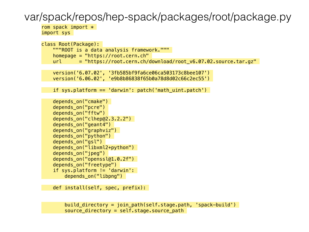#### var/spack/repos/hep-spack/packages/root/package.py

rom spack import  $*$ import sys

```
class Root(Package): 
     """ROOT is a data analysis framework.""" 
    homepage = "https://root.cern.ch" 
    url = "https://root.cern.ch/download/root V6.07.02.source.tar.gz"
```

```
 version('6.07.02', '3fb585bf9fa6ce06ca503173c8bee107') 
 version('6.06.02', 'e9b8b86838f65b0a78d8d02c66c2ec55')
```

```
 if sys.platform == 'darwin': patch('math_uint.patch')
```

```
depends on("cmake")
depends on("pcre")
depends on("fftw")
 depends_on("clhep@2.3.2.2") 
depends on("geant4")
 depends_on("graphviz") 
 depends_on("python") 
depends on("gsl")
 depends_on("libxml2+python") 
depends on("jpeg")
depends on("openssl@1.0.2f")
 depends_on("freetype") 
 if sys.platform != 'darwin': 
    depends on("libpng")
```

```
 def install(self, spec, prefix):
```

```
build directory = join path(self.stage.path, 'spack-build')
source directory = self.size.stage.source path
```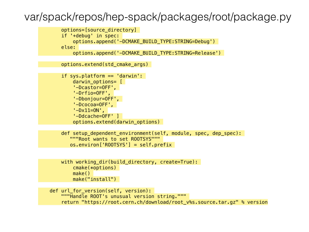#### var/spack/repos/hep-spack/packages/root/package.py



 """Handle ROOT's unusual version string.""" return "https://root.cern.ch/download/root v%s.source.tar.gz" % version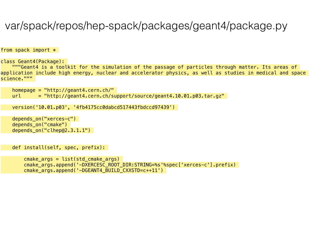#### var/spack/repos/hep-spack/packages/geant4/package.py

from spack import  $*$ 

class Geant4(Package):

 """Geant4 is a toolkit for the simulation of the passage of particles through matter. Its areas of application include high energy, nuclear and accelerator physics, as well as studies in medical and space science."""

```
 homepage = "http://geant4.cern.ch/" 
url = "http://geant4.cern.ch/support/source/geant4.10.01.p03.tar.gz"
```

```
 version('10.01.p03', '4fb4175cc0dabcd517443fbdccd97439')
```

```
depends on("xerces-c")
depends on("cmake")
 depends_on("clhep@2.3.1.1")
```

```
 def install(self, spec, prefix):
```

```
cmake \arg s = \text{list}(\text{std} \text{ cmake } \arg s) cmake_args.append('-DXERCESC_ROOT_DIR:STRING=%s'%spec['xerces-c'].prefix) 
 cmake_args.append('-DGEANT4_BUILD_CXXSTD=c++11')
```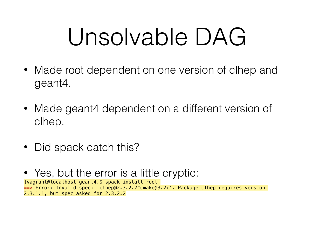## Unsolvable DAG

- Made root dependent on one version of clhep and geant4.
- Made geant4 dependent on a different version of clhep.
- Did spack catch this?
- Yes, but the error is a little cryptic: [vagrant@localhost geant4]\$ spack install root **==>** Error: Invalid spec: 'clhep@2.3.2.2^cmake@3.2:'. Package clhep requires version 2.3.1.1, but spec asked for 2.3.2.2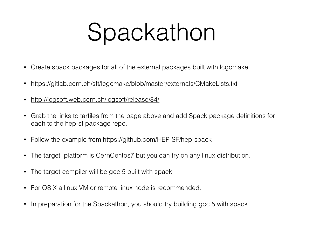## Spackathon

- Create spack packages for all of the external packages built with lcgcmake
- https://gitlab.cern.ch/sft/lcgcmake/blob/master/externals/CMakeLists.txt
- <http://lcgsoft.web.cern.ch/lcgsoft/release/84/>
- Grab the links to tarfiles from the page above and add Spack package definitions for each to the hep-sf package repo.
- Follow the example from<https://github.com/HEP-SF/hep-spack>
- The target platform is CernCentos7 but you can try on any linux distribution.
- The target compiler will be gcc 5 built with spack.
- For OS X a linux VM or remote linux node is recommended.
- In preparation for the Spackathon, you should try building gcc 5 with spack.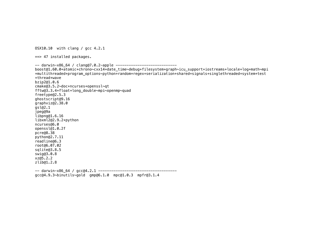OSX10.10 with clang / gcc 4.2.1

==> 47 installed packages.

```
-- darwin-x86 64 / clang@7.0.2-apple -------------------------------
boost@1.60.0+atomic+chrono~cxx14+date_time~debug+filesystem+graph~icu_support+iostreams+locale+log+math~mpi
+multithreaded+program_options~python+random+regex+serialization+shared+signals+singlethreaded+system+test
+thread+wave 
bzip2@1.0.6 
cmake@3.5.2~doc+ncurses+openssl~qt 
fftw@3.3.4+float+long_double~mpi~openmp~quad 
freetype@2.5.3 
ghostscript@9.16 
graphviz@2.38.0 
gsl@2.1 
jpeg@9a 
libpng@1.6.16 
libxml2@2.9.2+python 
ncurses@6.0 
openssl@1.0.2f 
pcre@8.38 
python@2.7.11 
readline@6.3 
root@6.07.02 
sqlite@3.8.5 
swig@3.0.8 
xz@5.2.2 
zlib@1.2.8 
-- darwin-x86_64 / gcc@4.2.1 ------------------------------------ 
gcc@4.9.3~binutils~gold gmp@6.1.0 mpc@1.0.3 mpfr@3.1.4
```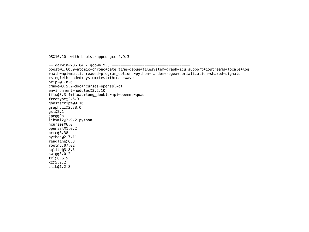OSX10.10 with bootstrapped gcc 4.9.3

-- darwin-x86\_64 / gcc@4.9.3 ----------------------------------- boost@1.60.0+atomic+chrono+date\_time~debug+filesystem+graph~icu\_support+iostreams+locale+log +math~mpi+multithreaded+program\_options~python+random+regex+serialization+shared+signals +singlethreaded+system+test+thread+wave bzip2@1.0.6 cmake@3.5.2~doc+ncurses+openssl~qt environment-modules@3.2.10 fftw@3.3.4+float+long\_double~mpi~openmp~quad freetype@2.5.3 ghostscript@9.16 graphviz@2.38.0 gsl@2.1 jpeg@9a libxml2@2.9.2+python ncurses@6.0 openssl@1.0.2f pcre@8.38 python@2.7.11 readline@6.3 root@6.07.02 sqlite@3.8.5 swig@3.0.2 tcl@8.6.5 xz@5.2.2 zlib@1.2.8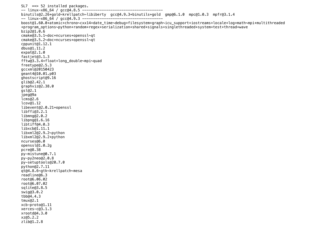```
SL7 ==> 52 installed packages. 
-- linux-x86 64 / gcc@4.8.5 ----
binutils@2.26+gold~krellpatch~libiberty gcc@4.9.3+binutils+gold gmp@6.1.0 mpc@1.0.3 mpfr@3.1.4 
-- linux-x86 64 / gcc@4.9.3 ----------------
boost@1.60.0+atomic+chrono~cxx14+date_time~debug+filesystem+graph~icu_support+iostreams+locale+log+math~mpi+multithreaded
+program_options~python+random+regex+serialization+shared+signals+singlethreaded+system+test+thread+wave 
bzip2@1.0.6 
cmake@3.5.1~doc+ncurses+openssl~qt 
cmake@3.5.2~doc+ncurses+openssl~qt 
cppunit@1.12.1 
dbus@1.11.2 
expat@2.1.0 
fastjet@3.1.3 
fftw@3.3.4+float+long_double~mpi~quad 
freetype@2.5.3 
gccxml@20150423 
geant4@10.01.p03 
ghostscript@9.16 
glib@2.42.1 
graphviz@2.38.0 
gsl@2.1 
jpeg@9a 
lcms@2.6 
lcov@1.12 
libevent@2.0.21+openssl 
libffi@3.2.1 
libmng@2.0.2 
libpng@1.6.16 
libtiff@4.0.3 
libxcb@1.11.1 
libxml2@2.9.2~python 
libxml2@2.9.2+python 
ncurses@6.0 
openssl@1.0.2g 
pcre@8.38 
py-mistune@0.7.1 
py-py2neo@2.0.8 
py-setuptools@20.7.0 
python@2.7.11 
qt@4.8.6~gtk~krellpatch~mesa 
readline@6.3 
root@6.06.02 
root@6.07.02 
sqlite@3.8.5 
swig@3.0.2 
tbb@4.4.3 
tmux@2.1 
xcb-proto@1.11 
xerces-c@3.1.3 
xrootd@4.3.0 
xz@5.2.2 
zlib@1.2.8
```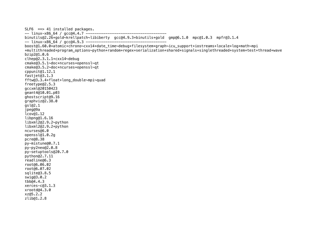```
SLF6 ==> 41 installed packages.
-- linux-x86_64 / gcc@4.4.7 ------------------------------------- 
binutils@2.26+gold~krellpatch~libiberty gcc@4.9.3+binutils+gold gmp@6.1.0 mpc@1.0.3 mpfr@3.1.4 
-- linux-x86_64 / gcc@4.9.3 ------------------------------------- 
boost@1.60.0+atomic+chrono~cxx14+date_time~debug+filesystem+graph~icu_support+iostreams+locale+log+math~mpi
+multithreaded+program_options~python+random+regex+serialization+shared+signals+singlethreaded+system+test+thread+wave 
bzip2@1.0.6 
clhep@2.3.1.1+cxx14~debug 
cmake@3.5.1~doc+ncurses+openssl~qt 
cmake@3.5.2~doc+ncurses+openssl~qt 
cppunit@1.12.1 
fastjet@3.1.3 
fftw@3.3.4+float+long_double~mpi~quad 
freetype@2.5.3 
gccxml@20150423 
geant4@10.01.p03 
ghostscript@9.16 
graphviz@2.38.0 
gsl@2.1 
jpeg@9a 
lcov@1.12 
libpng@1.6.16 
libxml2@2.9.2~python 
libxml2@2.9.2+python 
ncurses@6.0 
openssl@1.0.2g 
pcre@8.38 
py-mistune@0.7.1 
py-py2neo@2.0.8 
py-setuptools@20.7.0 
python@2.7.11 
readline@6.3 
root@6.06.02 
root@6.07.02 
sqlite@3.8.5 
swig@3.0.2 
tbb@4.4.3 
xerces-c@3.1.3 
xrootd@4.3.0 
xz@5.2.2 
zlib@1.2.8
```